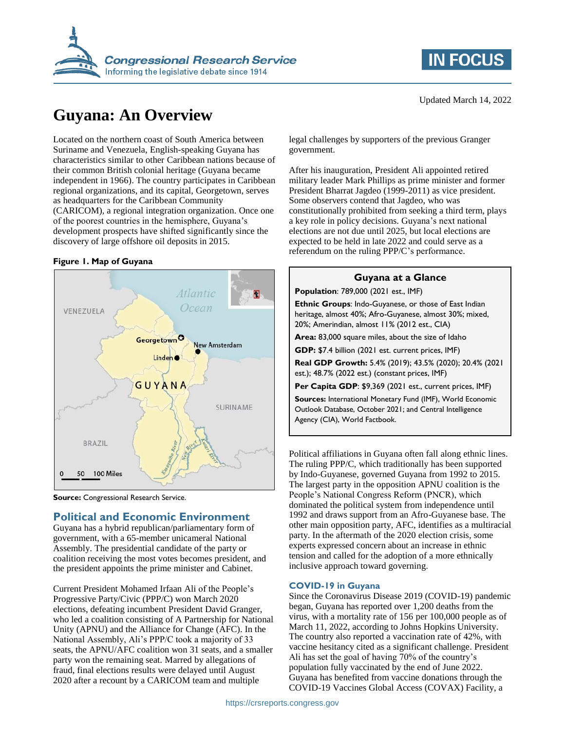

# **Guyana: An Overview**

Located on the northern coast of South America between Suriname and Venezuela, English-speaking Guyana has characteristics similar to other Caribbean nations because of their common British colonial heritage (Guyana became independent in 1966). The country participates in Caribbean regional organizations, and its capital, Georgetown, serves as headquarters for the Caribbean Community (CARICOM), a regional integration organization. Once one of the poorest countries in the hemisphere, Guyana's development prospects have shifted significantly since the discovery of large offshore oil deposits in 2015.

#### **Figure 1. Map of Guyana**



**Source:** Congressional Research Service.

# **Political and Economic Environment**

Guyana has a hybrid republican/parliamentary form of government, with a 65-member unicameral National Assembly. The presidential candidate of the party or coalition receiving the most votes becomes president, and the president appoints the prime minister and Cabinet.

Current President Mohamed Irfaan Ali of the People's Progressive Party/Civic (PPP/C) won March 2020 elections, defeating incumbent President David Granger, who led a coalition consisting of A Partnership for National Unity (APNU) and the Alliance for Change (AFC). In the National Assembly, Ali's PPP/C took a majority of 33 seats, the APNU/AFC coalition won 31 seats, and a smaller party won the remaining seat. Marred by allegations of fraud, final elections results were delayed until August 2020 after a recount by a CARICOM team and multiple

Updated March 14, 2022

**IN FOCUS** 

legal challenges by supporters of the previous Granger government.

After his inauguration, President Ali appointed retired military leader Mark Phillips as prime minister and former President Bharrat Jagdeo (1999-2011) as vice president. Some observers contend that Jagdeo, who was constitutionally prohibited from seeking a third term, plays a key role in policy decisions. Guyana's next national elections are not due until 2025, but local elections are expected to be held in late 2022 and could serve as a referendum on the ruling PPP/C's performance.

## **Guyana at a Glance**

**Population**: 789,000 (2021 est., IMF)

**Ethnic Groups**: Indo-Guyanese, or those of East Indian heritage, almost 40%; Afro-Guyanese, almost 30%; mixed, 20%; Amerindian, almost 11% (2012 est., CIA)

**Area:** 83,000 square miles, about the size of Idaho

**GDP:** \$7.4 billion (2021 est. current prices, IMF)

**Real GDP Growth:** 5.4% (2019); 43.5% (2020); 20.4% (2021 est.); 48.7% (2022 est.) (constant prices, IMF)

**Per Capita GDP**: \$9,369 (2021 est., current prices, IMF)

**Sources:** International Monetary Fund (IMF), World Economic Outlook Database, October 2021; and Central Intelligence Agency (CIA), World Factbook.

Political affiliations in Guyana often fall along ethnic lines. The ruling PPP/C, which traditionally has been supported by Indo-Guyanese, governed Guyana from 1992 to 2015. The largest party in the opposition APNU coalition is the People's National Congress Reform (PNCR), which dominated the political system from independence until 1992 and draws support from an Afro-Guyanese base. The other main opposition party, AFC, identifies as a multiracial party. In the aftermath of the 2020 election crisis, some experts expressed concern about an increase in ethnic tension and called for the adoption of a more ethnically inclusive approach toward governing.

#### **COVID-19 in Guyana**

Since the Coronavirus Disease 2019 (COVID-19) pandemic began, Guyana has reported over 1,200 deaths from the virus, with a mortality rate of 156 per 100,000 people as of March 11, 2022, according to Johns Hopkins University. The country also reported a vaccination rate of 42%, with vaccine hesitancy cited as a significant challenge. President Ali has set the goal of having 70% of the country's population fully vaccinated by the end of June 2022. Guyana has benefited from vaccine donations through the COVID-19 Vaccines Global Access (COVAX) Facility, a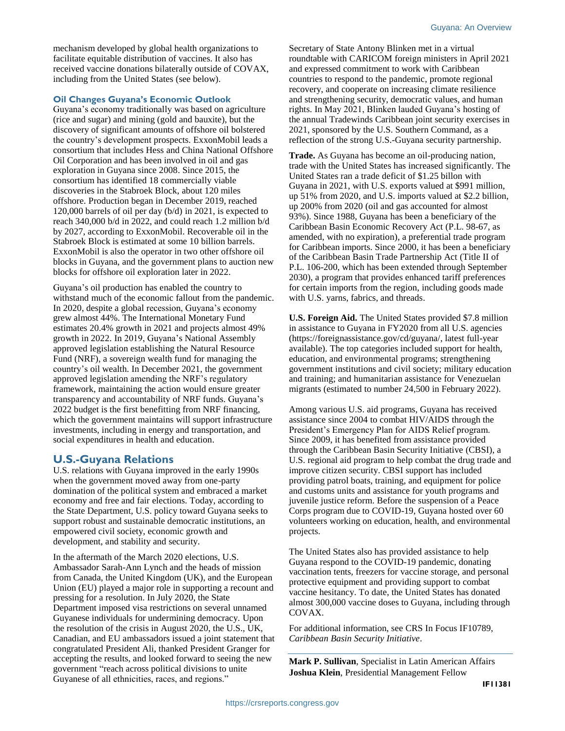mechanism developed by global health organizations to facilitate equitable distribution of vaccines. It also has received vaccine donations bilaterally outside of COVAX, including from the United States (see below).

#### **Oil Changes Guyana's Economic Outlook**

Guyana's economy traditionally was based on agriculture (rice and sugar) and mining (gold and bauxite), but the discovery of significant amounts of offshore oil bolstered the country's development prospects. ExxonMobil leads a consortium that includes Hess and China National Offshore Oil Corporation and has been involved in oil and gas exploration in Guyana since 2008. Since 2015, the consortium has identified 18 commercially viable discoveries in the Stabroek Block, about 120 miles offshore. Production began in December 2019, reached 120,000 barrels of oil per day (b/d) in 2021, is expected to reach 340,000 b/d in 2022, and could reach 1.2 million b/d by 2027, according to ExxonMobil. Recoverable oil in the Stabroek Block is estimated at some 10 billion barrels. ExxonMobil is also the operator in two other offshore oil blocks in Guyana, and the government plans to auction new blocks for offshore oil exploration later in 2022.

Guyana's oil production has enabled the country to withstand much of the economic fallout from the pandemic. In 2020, despite a global recession, Guyana's economy grew almost 44%. The International Monetary Fund estimates 20.4% growth in 2021 and projects almost 49% growth in 2022. In 2019, Guyana's National Assembly approved legislation establishing the Natural Resource Fund (NRF), a sovereign wealth fund for managing the country's oil wealth. In December 2021, the government approved legislation amending the NRF's regulatory framework, maintaining the action would ensure greater transparency and accountability of NRF funds. Guyana's 2022 budget is the first benefitting from NRF financing, which the government maintains will support infrastructure investments, including in energy and transportation, and social expenditures in health and education.

### **U.S.-Guyana Relations**

U.S. relations with Guyana improved in the early 1990s when the government moved away from one-party domination of the political system and embraced a market economy and free and fair elections. Today, according to the State Department, U.S. policy toward Guyana seeks to support robust and sustainable democratic institutions, an empowered civil society, economic growth and development, and stability and security.

In the aftermath of the March 2020 elections, U.S. Ambassador Sarah-Ann Lynch and the heads of mission from Canada, the United Kingdom (UK), and the European Union (EU) played a major role in supporting a recount and pressing for a resolution. In July 2020, the State Department imposed visa restrictions on several unnamed Guyanese individuals for undermining democracy. Upon the resolution of the crisis in August 2020, the U.S., UK, Canadian, and EU ambassadors issued a joint statement that congratulated President Ali, thanked President Granger for accepting the results, and looked forward to seeing the new government "reach across political divisions to unite Guyanese of all ethnicities, races, and regions."

Secretary of State Antony Blinken met in a virtual roundtable with CARICOM foreign ministers in April 2021 and expressed commitment to work with Caribbean countries to respond to the pandemic, promote regional recovery, and cooperate on increasing climate resilience and strengthening security, democratic values, and human rights. In May 2021, Blinken lauded Guyana's hosting of the annual Tradewinds Caribbean joint security exercises in 2021, sponsored by the U.S. Southern Command, as a reflection of the strong U.S.-Guyana security partnership.

**Trade.** As Guyana has become an oil-producing nation, trade with the United States has increased significantly. The United States ran a trade deficit of \$1.25 billon with Guyana in 2021, with U.S. exports valued at \$991 million, up 51% from 2020, and U.S. imports valued at \$2.2 billion, up 200% from 2020 (oil and gas accounted for almost 93%). Since 1988, Guyana has been a beneficiary of the Caribbean Basin Economic Recovery Act (P.L. 98-67, as amended, with no expiration), a preferential trade program for Caribbean imports. Since 2000, it has been a beneficiary of the Caribbean Basin Trade Partnership Act (Title II of P.L. 106-200, which has been extended through September 2030), a program that provides enhanced tariff preferences for certain imports from the region, including goods made with U.S. yarns, fabrics, and threads.

**U.S. Foreign Aid.** The United States provided \$7.8 million in assistance to Guyana in FY2020 from all U.S. agencies (https://foreignassistance.gov/cd/guyana/, latest full-year available). The top categories included support for health, education, and environmental programs; strengthening government institutions and civil society; military education and training; and humanitarian assistance for Venezuelan migrants (estimated to number 24,500 in February 2022).

Among various U.S. aid programs, Guyana has received assistance since 2004 to combat HIV/AIDS through the President's Emergency Plan for AIDS Relief program. Since 2009, it has benefited from assistance provided through the Caribbean Basin Security Initiative (CBSI), a U.S. regional aid program to help combat the drug trade and improve citizen security. CBSI support has included providing patrol boats, training, and equipment for police and customs units and assistance for youth programs and juvenile justice reform. Before the suspension of a Peace Corps program due to COVID-19, Guyana hosted over 60 volunteers working on education, health, and environmental projects.

The United States also has provided assistance to help Guyana respond to the COVID-19 pandemic, donating vaccination tents, freezers for vaccine storage, and personal protective equipment and providing support to combat vaccine hesitancy. To date, the United States has donated almost 300,000 vaccine doses to Guyana, including through COVAX.

For additional information, see CRS In Focus IF10789, *Caribbean Basin Security Initiative*.

**Mark P. Sullivan**, Specialist in Latin American Affairs **Joshua Klein**, Presidential Management Fellow